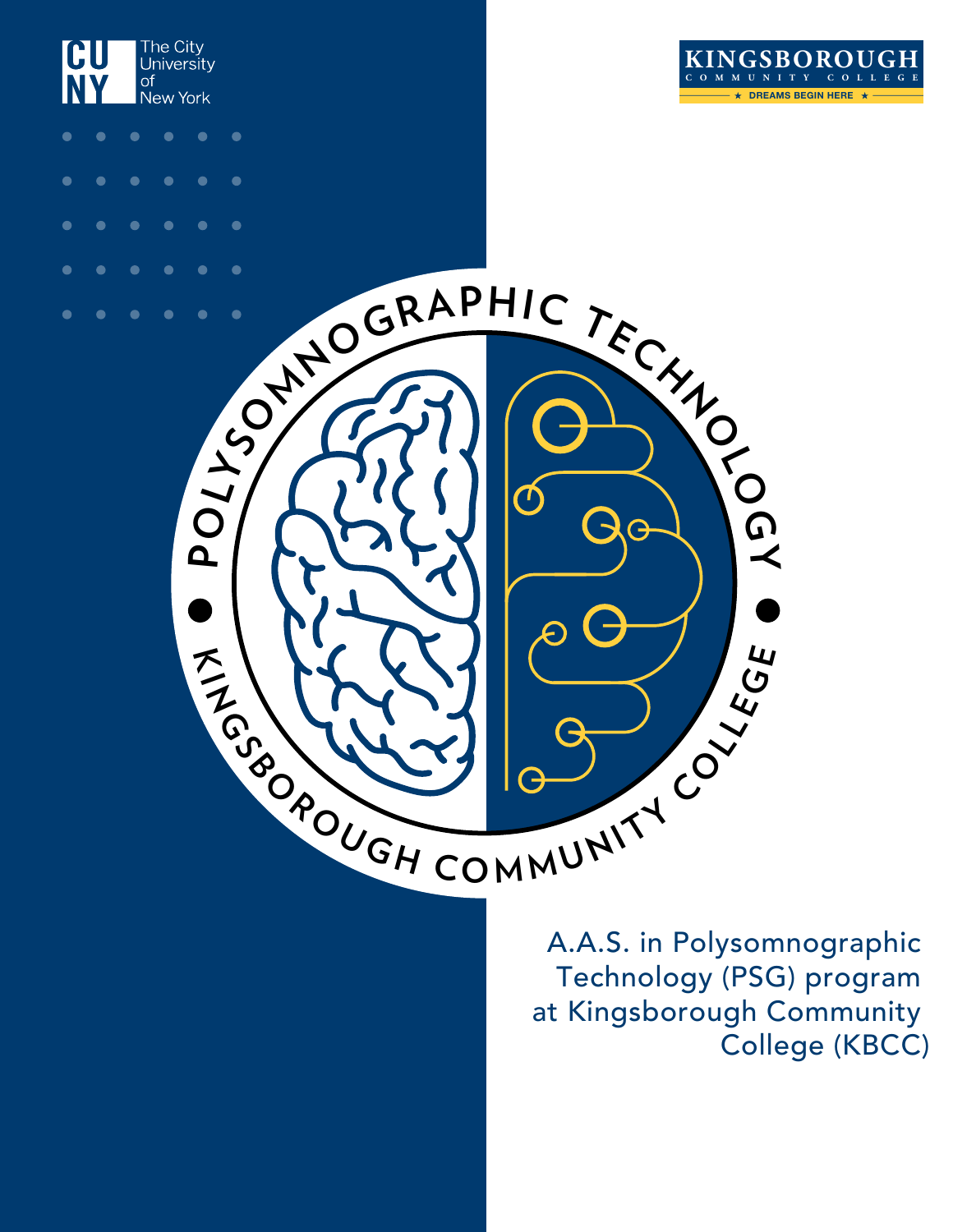



The City<br>University

of<br>New York

 $\bullet$ 

CU

**NY** 

A.A.S. in Polysomnographic Technology (PSG) program at Kingsborough Community College (KBCC)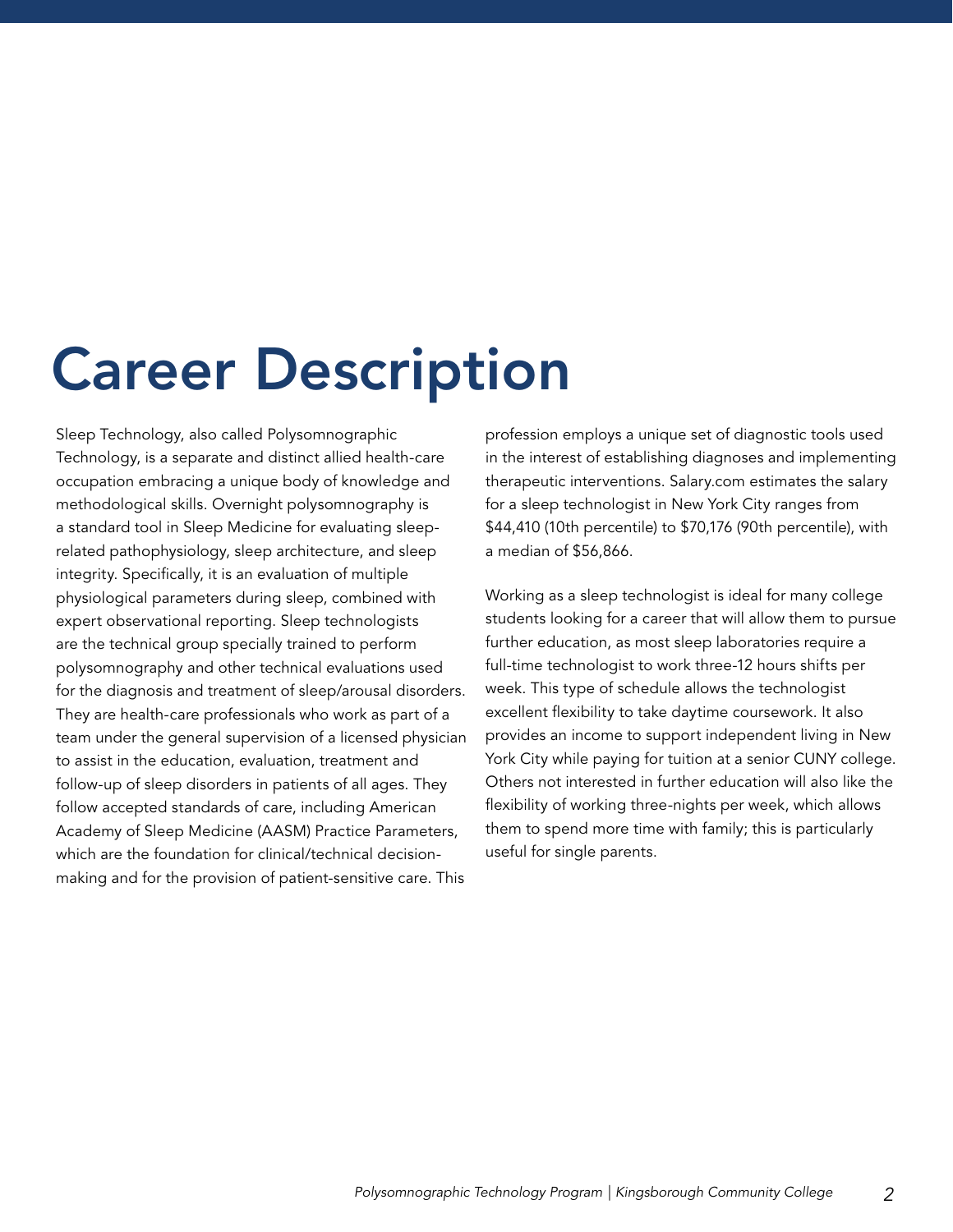# Career Description

Sleep Technology, also called Polysomnographic Technology, is a separate and distinct allied health-care occupation embracing a unique body of knowledge and methodological skills. Overnight polysomnography is a standard tool in Sleep Medicine for evaluating sleeprelated pathophysiology, sleep architecture, and sleep integrity. Specifically, it is an evaluation of multiple physiological parameters during sleep, combined with expert observational reporting. Sleep technologists are the technical group specially trained to perform polysomnography and other technical evaluations used for the diagnosis and treatment of sleep/arousal disorders. They are health-care professionals who work as part of a team under the general supervision of a licensed physician to assist in the education, evaluation, treatment and follow-up of sleep disorders in patients of all ages. They follow accepted standards of care, including American Academy of Sleep Medicine (AASM) Practice Parameters, which are the foundation for clinical/technical decisionmaking and for the provision of patient-sensitive care. This

profession employs a unique set of diagnostic tools used in the interest of establishing diagnoses and implementing therapeutic interventions. Salary.com estimates the salary for a sleep technologist in New York City ranges from \$44,410 (10th percentile) to \$70,176 (90th percentile), with a median of \$56,866.

Working as a sleep technologist is ideal for many college students looking for a career that will allow them to pursue further education, as most sleep laboratories require a full-time technologist to work three-12 hours shifts per week. This type of schedule allows the technologist excellent flexibility to take daytime coursework. It also provides an income to support independent living in New York City while paying for tuition at a senior CUNY college. Others not interested in further education will also like the flexibility of working three-nights per week, which allows them to spend more time with family; this is particularly useful for single parents.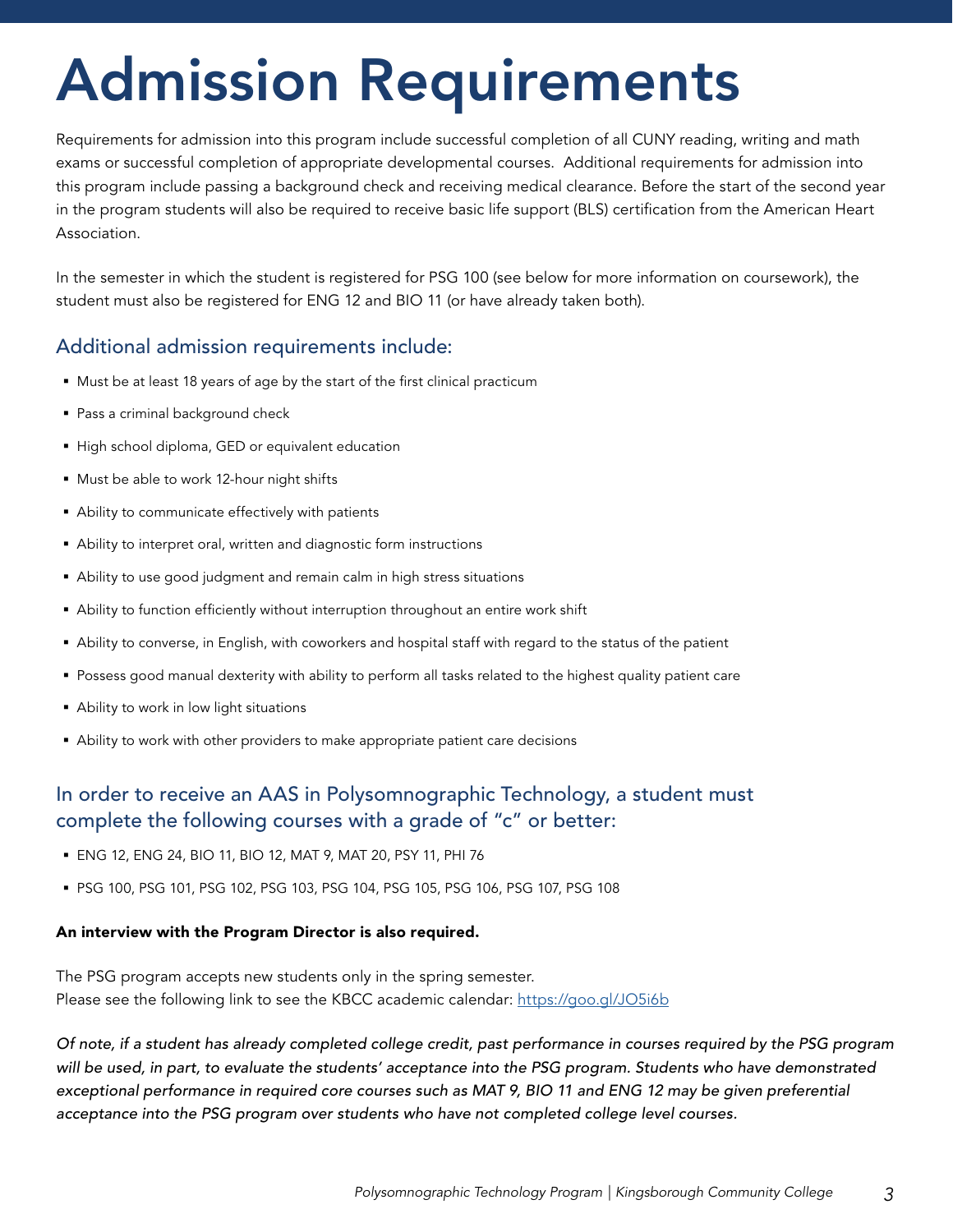# Admission Requirements

Requirements for admission into this program include successful completion of all CUNY reading, writing and math exams or successful completion of appropriate developmental courses. Additional requirements for admission into this program include passing a background check and receiving medical clearance. Before the start of the second year in the program students will also be required to receive basic life support (BLS) certification from the American Heart Association.

In the semester in which the student is registered for PSG 100 (see below for more information on coursework), the student must also be registered for ENG 12 and BIO 11 (or have already taken both).

#### Additional admission requirements include:

- Must be at least 18 years of age by the start of the first clinical practicum
- **Pass a criminal background check**
- High school diploma, GED or equivalent education
- Must be able to work 12-hour night shifts
- Ability to communicate effectively with patients
- Ability to interpret oral, written and diagnostic form instructions
- Ability to use good judgment and remain calm in high stress situations
- Ability to function efficiently without interruption throughout an entire work shift
- Ability to converse, in English, with coworkers and hospital staff with regard to the status of the patient
- Possess good manual dexterity with ability to perform all tasks related to the highest quality patient care
- Ability to work in low light situations
- Ability to work with other providers to make appropriate patient care decisions

#### In order to receive an AAS in Polysomnographic Technology, a student must complete the following courses with a grade of "c" or better:

- ENG 12, ENG 24, BIO 11, BIO 12, MAT 9, MAT 20, PSY 11, PHI 76
- PSG 100, PSG 101, PSG 102, PSG 103, PSG 104, PSG 105, PSG 106, PSG 107, PSG 108

#### An interview with the Program Director is also required.

The PSG program accepts new students only in the spring semester. Please see the following link to see the KBCC academic calendar: <https://goo.gl/JO5i6b>

*Of note, if a student has already completed college credit, past performance in courses required by the PSG program will be used, in part, to evaluate the students' acceptance into the PSG program. Students who have demonstrated*  exceptional performance in required core courses such as MAT 9, BIO 11 and ENG 12 may be given preferential *acceptance into the PSG program over students who have not completed college level courses.*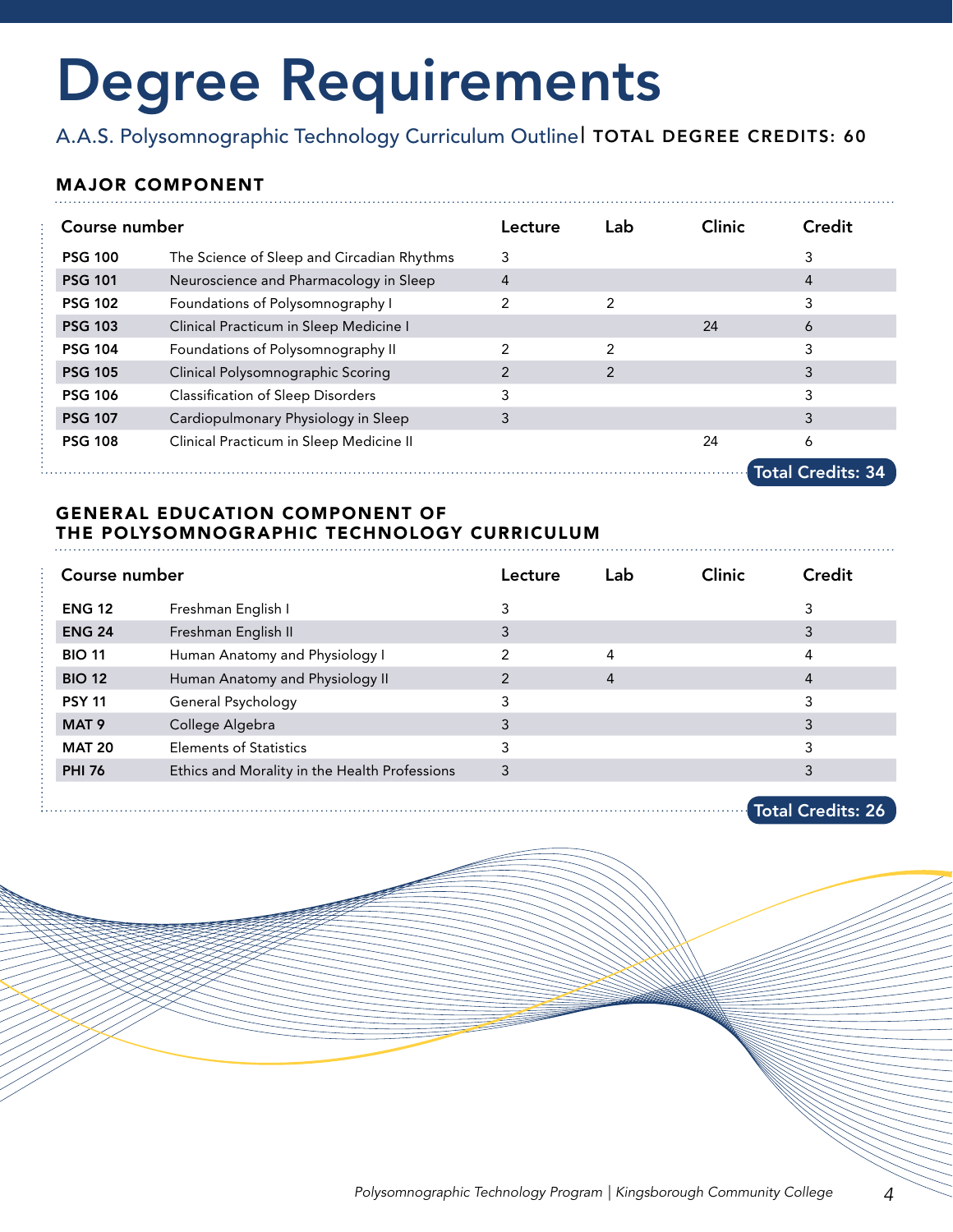# Degree Requirements

A.A.S. Polysomnographic Technology Curriculum Outlinel TOTAL DEGREE CREDITS: 60

#### MAJOR COMPONENT

| Course number  |                                            | Lecture | Lab | <b>Clinic</b> | Credit                   |
|----------------|--------------------------------------------|---------|-----|---------------|--------------------------|
| <b>PSG 100</b> | The Science of Sleep and Circadian Rhythms | 3       |     |               | 3                        |
| <b>PSG 101</b> | Neuroscience and Pharmacology in Sleep     | 4       |     |               | 4                        |
| <b>PSG 102</b> | Foundations of Polysomnography I           | 2       | 2   |               | 3                        |
| <b>PSG 103</b> | Clinical Practicum in Sleep Medicine I     |         |     | 24            | 6                        |
| <b>PSG 104</b> | Foundations of Polysomnography II          | 2       | 2   |               | 3                        |
| <b>PSG 105</b> | Clinical Polysomnographic Scoring          | 2       | 2   |               | 3                        |
| <b>PSG 106</b> | <b>Classification of Sleep Disorders</b>   | 3       |     |               | 3                        |
| <b>PSG 107</b> | Cardiopulmonary Physiology in Sleep        | 3       |     |               | 3                        |
| <b>PSG 108</b> | Clinical Practicum in Sleep Medicine II    |         |     | 24            | 6                        |
|                |                                            |         |     |               | <b>Total Credits: 34</b> |

#### GENERAL EDUCATION COMPONENT OF THE POLYSOMNOGRAPHIC TECHNOLOGY CURRICULUM

| Course number    |                                               | Lecture | Lab            | <b>Clinic</b> | Credit |
|------------------|-----------------------------------------------|---------|----------------|---------------|--------|
| <b>ENG 12</b>    | Freshman English I                            | 3       |                |               |        |
| <b>ENG 24</b>    | Freshman English II                           | 3       |                |               |        |
| <b>BIO 11</b>    | Human Anatomy and Physiology I                | 2       | 4              |               | 4      |
| <b>BIO 12</b>    | Human Anatomy and Physiology II               | 2       | $\overline{4}$ |               | 4      |
| <b>PSY 11</b>    | General Psychology                            | 3       |                |               |        |
| MAT <sub>9</sub> | College Algebra                               | 3       |                |               |        |
| <b>MAT 20</b>    | <b>Elements of Statistics</b>                 | 3       |                |               |        |
| <b>PHI 76</b>    | Ethics and Morality in the Health Professions | 3       |                |               |        |
|                  |                                               |         |                |               |        |

Total Credits: 26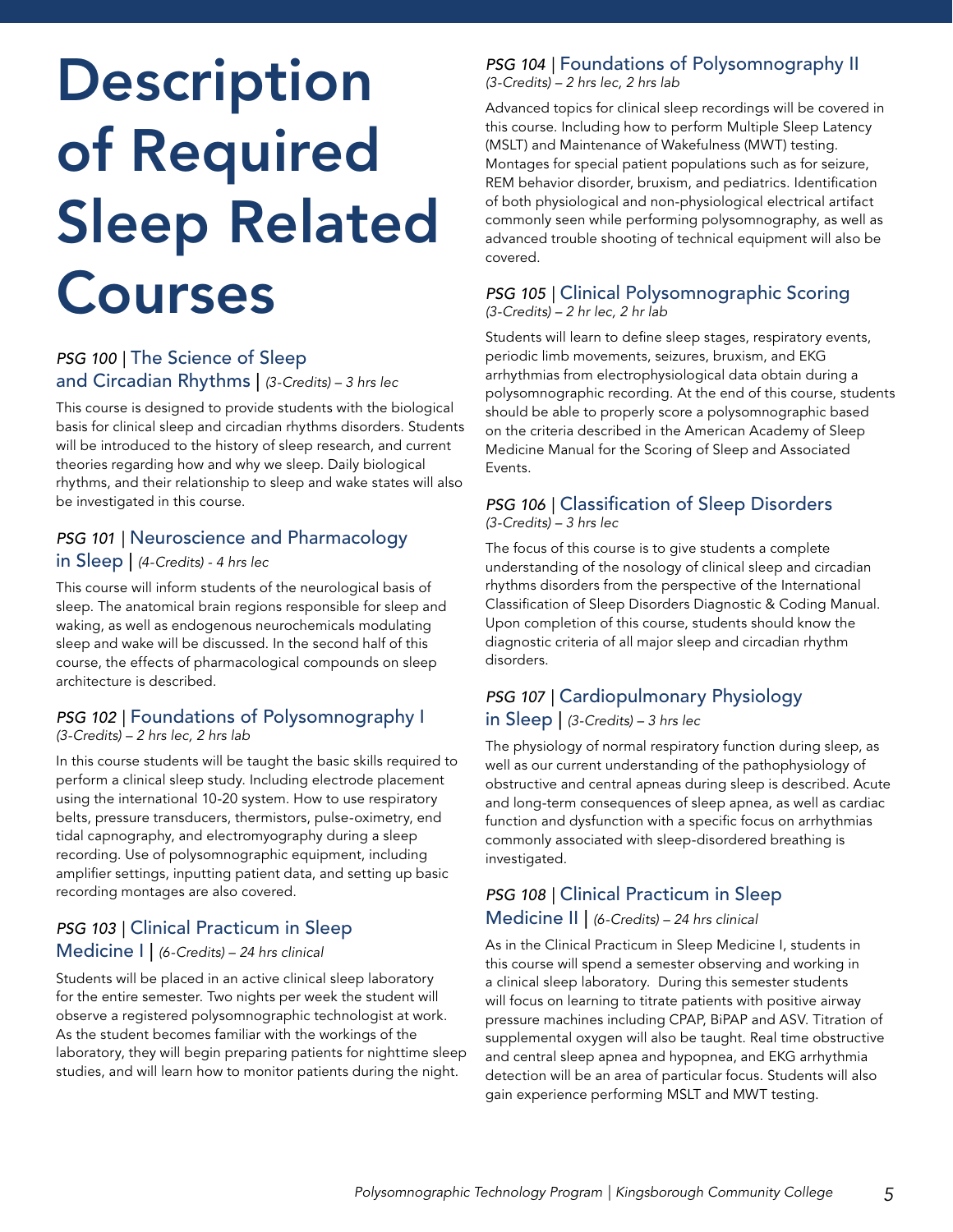# Description of Required Sleep Related Courses

#### **PSG 100 | The Science of Sleep** and Circadian Rhythms | *(3-Credits) – 3 hrs lec*

This course is designed to provide students with the biological basis for clinical sleep and circadian rhythms disorders. Students will be introduced to the history of sleep research, and current theories regarding how and why we sleep. Daily biological rhythms, and their relationship to sleep and wake states will also be investigated in this course.

#### *PSG 101 |* Neuroscience and Pharmacology

#### in Sleep | *(4-Credits) - 4 hrs lec*

This course will inform students of the neurological basis of sleep. The anatomical brain regions responsible for sleep and waking, as well as endogenous neurochemicals modulating sleep and wake will be discussed. In the second half of this course, the effects of pharmacological compounds on sleep architecture is described.

#### **PSG 102 | Foundations of Polysomnography I** *(3-Credits) – 2 hrs lec, 2 hrs lab*

In this course students will be taught the basic skills required to perform a clinical sleep study. Including electrode placement using the international 10-20 system. How to use respiratory belts, pressure transducers, thermistors, pulse-oximetry, end tidal capnography, and electromyography during a sleep recording. Use of polysomnographic equipment, including amplifier settings, inputting patient data, and setting up basic recording montages are also covered.

#### *PSG 103 |* Clinical Practicum in Sleep Medicine I | *(6-Credits) – 24 hrs clinical*

Students will be placed in an active clinical sleep laboratory for the entire semester. Two nights per week the student will observe a registered polysomnographic technologist at work. As the student becomes familiar with the workings of the laboratory, they will begin preparing patients for nighttime sleep studies, and will learn how to monitor patients during the night.

## **PSG 104 | Foundations of Polysomnography II**

*(3-Credits) – 2 hrs lec, 2 hrs lab*

Advanced topics for clinical sleep recordings will be covered in this course. Including how to perform Multiple Sleep Latency (MSLT) and Maintenance of Wakefulness (MWT) testing. Montages for special patient populations such as for seizure, REM behavior disorder, bruxism, and pediatrics. Identification of both physiological and non-physiological electrical artifact commonly seen while performing polysomnography, as well as advanced trouble shooting of technical equipment will also be covered.

#### *PSG 105 |* Clinical Polysomnographic Scoring *(3-Credits) – 2 hr lec, 2 hr lab*

Students will learn to define sleep stages, respiratory events, periodic limb movements, seizures, bruxism, and EKG arrhythmias from electrophysiological data obtain during a polysomnographic recording. At the end of this course, students should be able to properly score a polysomnographic based on the criteria described in the American Academy of Sleep Medicine Manual for the Scoring of Sleep and Associated Events.

#### *PSG 106 |* Classification of Sleep Disorders *(3-Credits) – 3 hrs lec*

The focus of this course is to give students a complete understanding of the nosology of clinical sleep and circadian rhythms disorders from the perspective of the International Classification of Sleep Disorders Diagnostic & Coding Manual. Upon completion of this course, students should know the diagnostic criteria of all major sleep and circadian rhythm disorders.

#### **PSG 107 | Cardiopulmonary Physiology** in Sleep | *(3-Credits) – 3 hrs lec*

The physiology of normal respiratory function during sleep, as well as our current understanding of the pathophysiology of obstructive and central apneas during sleep is described. Acute and long-term consequences of sleep apnea, as well as cardiac function and dysfunction with a specific focus on arrhythmias commonly associated with sleep-disordered breathing is investigated.

#### *PSG 108 |* Clinical Practicum in Sleep Medicine II | *(6-Credits) – 24 hrs clinical*

As in the Clinical Practicum in Sleep Medicine I, students in this course will spend a semester observing and working in a clinical sleep laboratory. During this semester students will focus on learning to titrate patients with positive airway pressure machines including CPAP, BiPAP and ASV. Titration of supplemental oxygen will also be taught. Real time obstructive and central sleep apnea and hypopnea, and EKG arrhythmia detection will be an area of particular focus. Students will also gain experience performing MSLT and MWT testing.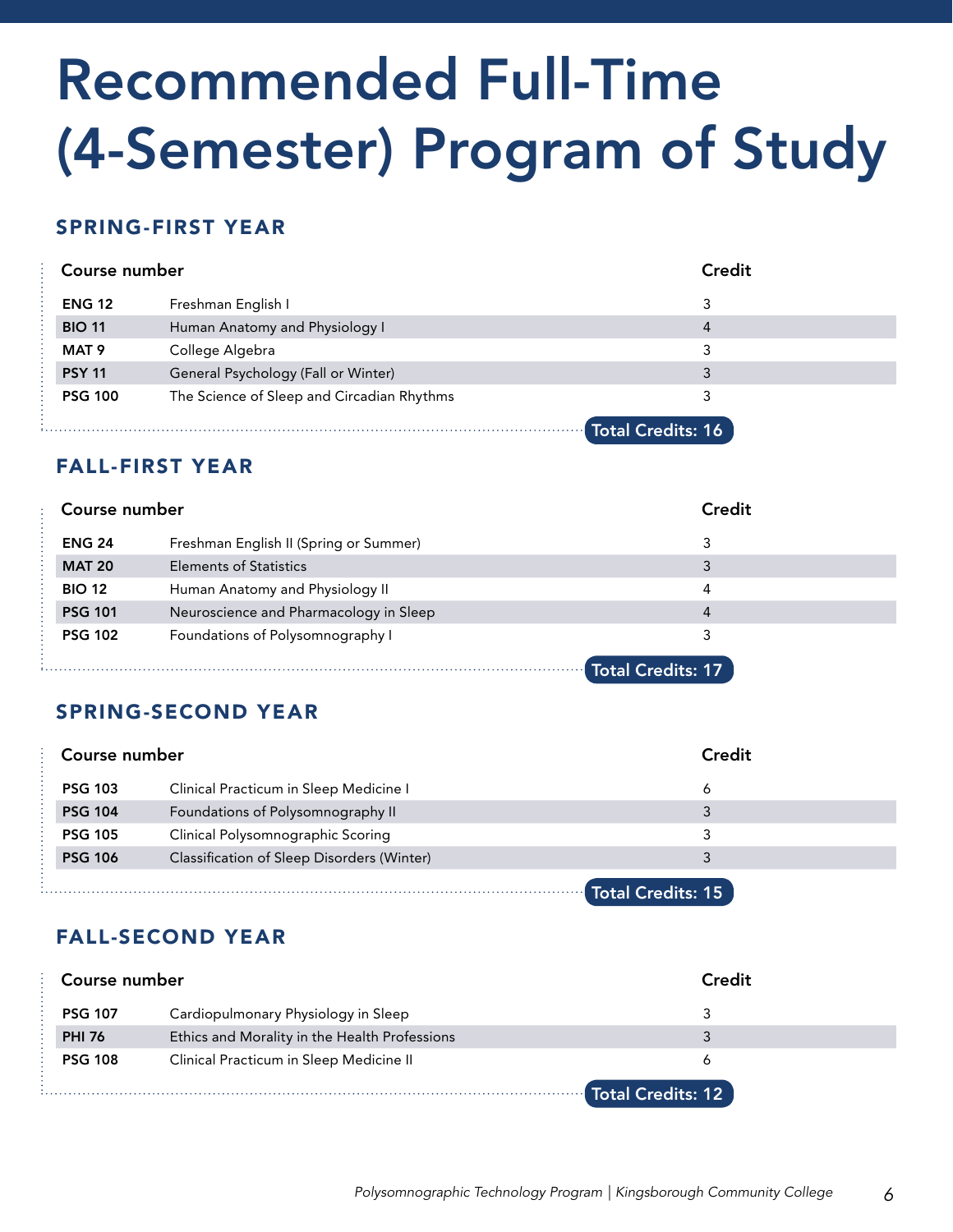# Recommended Full-Time (4-Semester) Program of Study

#### SPRING-FIRST YEAR

| Course number    |                                            | Credit |
|------------------|--------------------------------------------|--------|
| <b>ENG 12</b>    | Freshman English I                         | 3      |
| <b>BIO 11</b>    | Human Anatomy and Physiology I             | 4      |
| MAT <sub>9</sub> | College Algebra                            | 3      |
| <b>PSY 11</b>    | General Psychology (Fall or Winter)        | 3      |
| <b>PSG 100</b>   | The Science of Sleep and Circadian Rhythms | 3      |
|                  | <b>Total Credits: 16</b>                   |        |

#### FALL-FIRST YEAR

| Course number  |                                        | <b>Credit</b>            |
|----------------|----------------------------------------|--------------------------|
| <b>ENG 24</b>  | Freshman English II (Spring or Summer) | 3                        |
| <b>MAT 20</b>  | <b>Elements of Statistics</b>          | 3                        |
| <b>BIO 12</b>  | Human Anatomy and Physiology II        | 4                        |
| <b>PSG 101</b> | Neuroscience and Pharmacology in Sleep | 4                        |
| <b>PSG 102</b> | Foundations of Polysomnography I       | 3                        |
|                |                                        | <b>Total Credits: 17</b> |

### SPRING-SECOND YEAR

| Course number            |                                            | Credit |  |
|--------------------------|--------------------------------------------|--------|--|
| <b>PSG 103</b>           | Clinical Practicum in Sleep Medicine I     | 6      |  |
| <b>PSG 104</b>           | Foundations of Polysomnography II          | 3      |  |
| <b>PSG 105</b>           | Clinical Polysomnographic Scoring          | 3      |  |
| <b>PSG 106</b>           | Classification of Sleep Disorders (Winter) | 3      |  |
| <b>Total Credits: 15</b> |                                            |        |  |

### FALL-SECOND YEAR

| Course number  |                                               | Credit            |
|----------------|-----------------------------------------------|-------------------|
| <b>PSG 107</b> | Cardiopulmonary Physiology in Sleep           | 3                 |
| <b>PHI 76</b>  | Ethics and Morality in the Health Professions | 3                 |
| <b>PSG 108</b> | Clinical Practicum in Sleep Medicine II       | 6                 |
|                |                                               | Total Credits: 12 |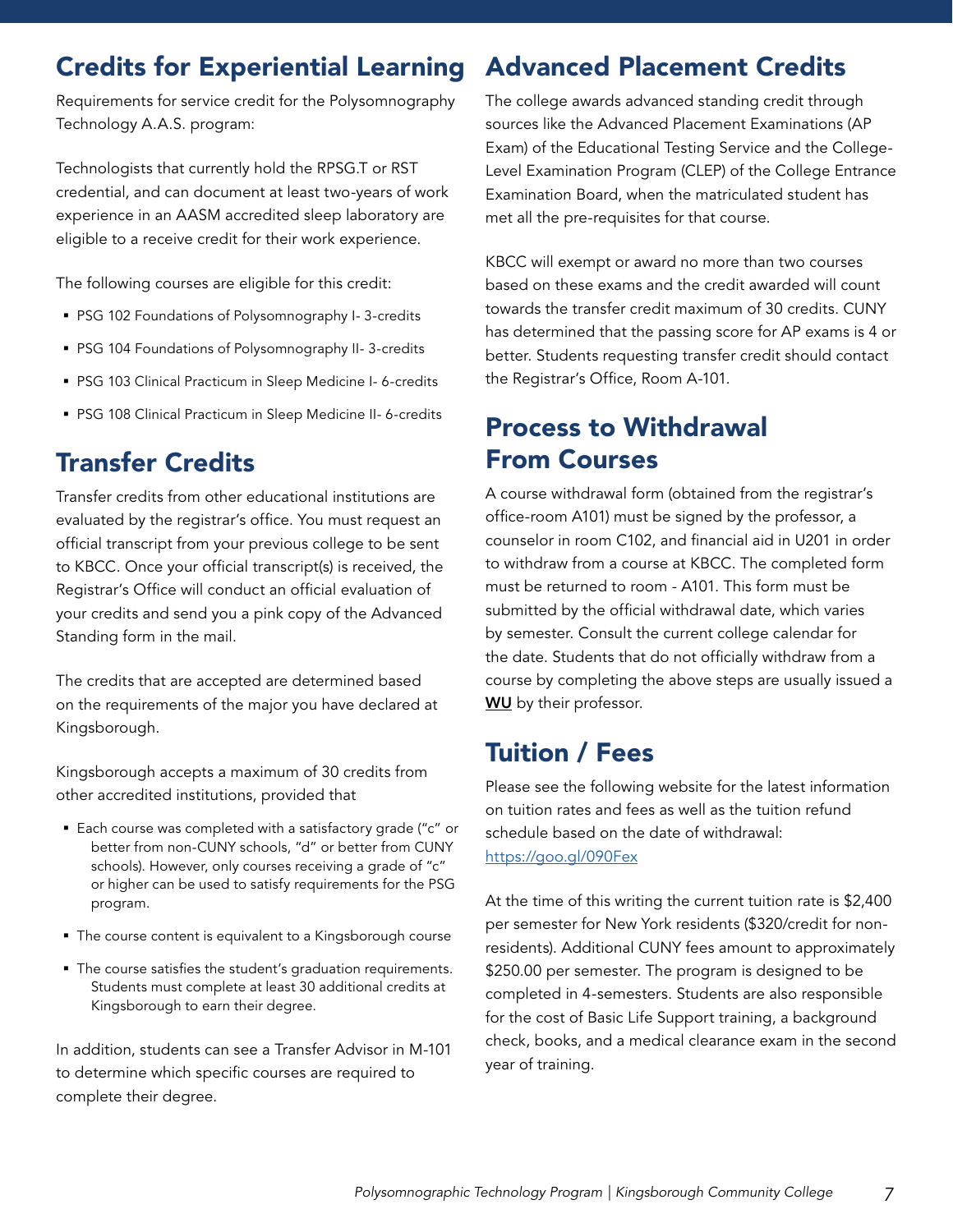## Credits for Experiential Learning

Requirements for service credit for the Polysomnography Technology A.A.S. program:

Technologists that currently hold the RPSG.T or RST credential, and can document at least two-years of work experience in an AASM accredited sleep laboratory are eligible to a receive credit for their work experience.

The following courses are eligible for this credit:

- PSG 102 Foundations of Polysomnography I- 3-credits
- PSG 104 Foundations of Polysomnography II- 3-credits
- PSG 103 Clinical Practicum in Sleep Medicine I- 6-credits
- PSG 108 Clinical Practicum in Sleep Medicine II- 6-credits

# Transfer Credits

Transfer credits from other educational institutions are evaluated by the registrar's office. You must request an official transcript from your previous college to be sent to KBCC. Once your official transcript(s) is received, the Registrar's Office will conduct an official evaluation of your credits and send you a pink copy of the Advanced Standing form in the mail.

The credits that are accepted are determined based on the requirements of the major you have declared at Kingsborough.

Kingsborough accepts a maximum of 30 credits from other accredited institutions, provided that

- Each course was completed with a satisfactory grade ("c" or better from non-CUNY schools, "d" or better from CUNY schools). However, only courses receiving a grade of "c" or higher can be used to satisfy requirements for the PSG program.
- The course content is equivalent to a Kingsborough course
- The course satisfies the student's graduation requirements. Students must complete at least 30 additional credits at Kingsborough to earn their degree.

In addition, students can see a Transfer Advisor in M-101 to determine which specific courses are required to complete their degree.

# Advanced Placement Credits

The college awards advanced standing credit through sources like the Advanced Placement Examinations (AP Exam) of the Educational Testing Service and the College-Level Examination Program (CLEP) of the College Entrance Examination Board, when the matriculated student has met all the pre-requisites for that course.

KBCC will exempt or award no more than two courses based on these exams and the credit awarded will count towards the transfer credit maximum of 30 credits. CUNY has determined that the passing score for AP exams is 4 or better. Students requesting transfer credit should contact the Registrar's Office, Room A-101.

## Process to Withdrawal From Courses

A course withdrawal form (obtained from the registrar's office-room A101) must be signed by the professor, a counselor in room C102, and financial aid in U201 in order to withdraw from a course at KBCC. The completed form must be returned to room - A101. This form must be submitted by the official withdrawal date, which varies by semester. Consult the current college calendar for the date. Students that do not officially withdraw from a course by completing the above steps are usually issued a **WU** by their professor.

# Tuition / Fees

Please see the following website for the latest information on tuition rates and fees as well as the tuition refund schedule based on the date of withdrawal: [https://goo.gl/090Fex](https://goo.gl/090Fex )

[At the time of this writing the current tuition rate is \\$2,400](https://goo.gl/090Fex )  [per semester for New York residents \(\\$320/credit for non](https://goo.gl/090Fex )[residents\). Additional CUNY fees amount to approximately](https://goo.gl/090Fex )  [\\$250.00 per semester. The program is designed to be](https://goo.gl/090Fex )  [completed in 4-semesters. Students are also responsible](https://goo.gl/090Fex )  [for the cost of Basic Life Support training, a background](https://goo.gl/090Fex )  [check, books, and a medical clearance exam in the second](https://goo.gl/090Fex ) [year of training.](https://goo.gl/090Fex )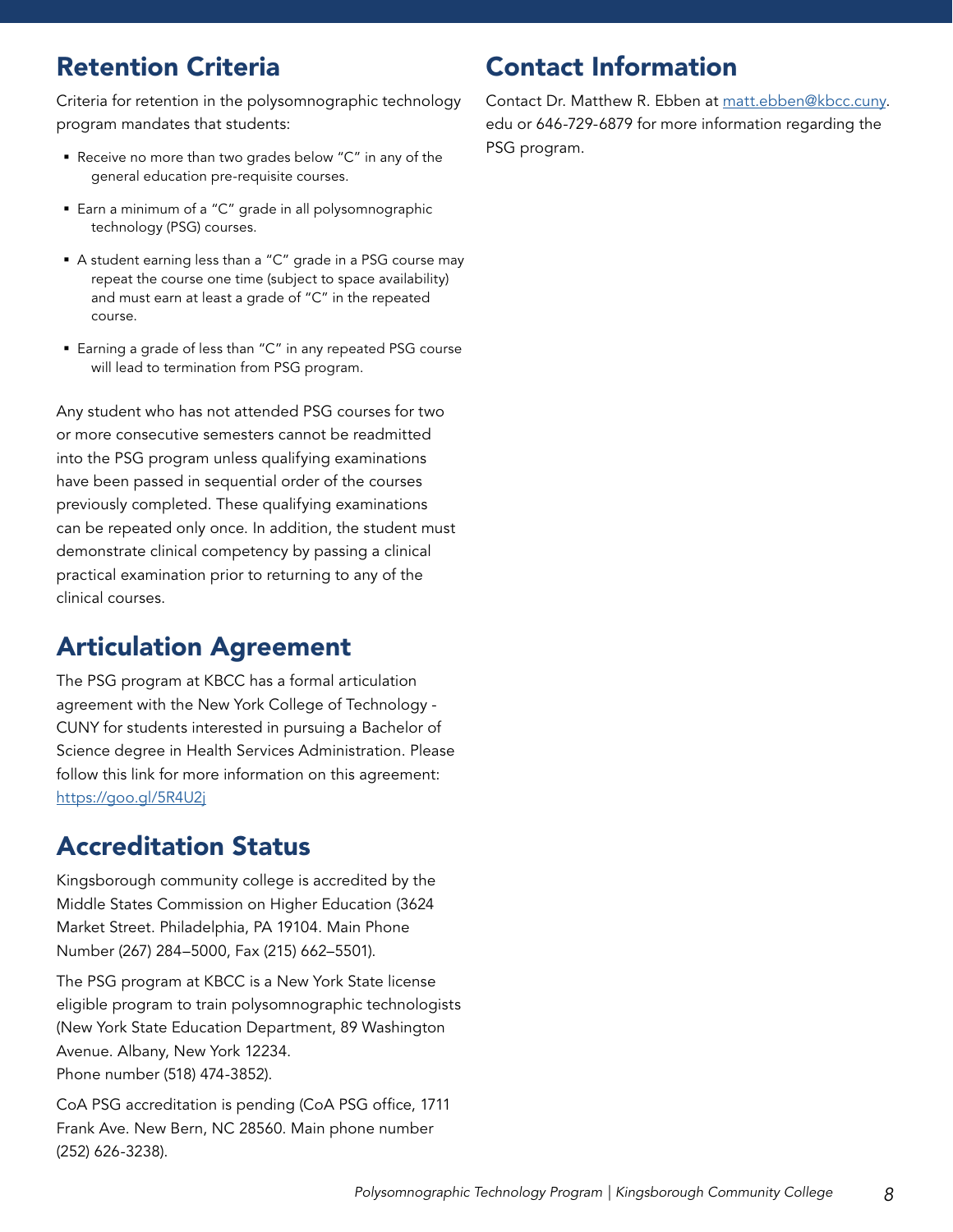## Retention Criteria

Criteria for retention in the polysomnographic technology program mandates that students:

- Receive no more than two grades below "C" in any of the general education pre-requisite courses.
- Earn a minimum of a "C" grade in all polysomnographic technology (PSG) courses.
- A student earning less than a "C" grade in a PSG course may repeat the course one time (subject to space availability) and must earn at least a grade of "C" in the repeated course.
- Earning a grade of less than "C" in any repeated PSG course will lead to termination from PSG program.

Any student who has not attended PSG courses for two or more consecutive semesters cannot be readmitted into the PSG program unless qualifying examinations have been passed in sequential order of the courses previously completed. These qualifying examinations can be repeated only once. In addition, the student must demonstrate clinical competency by passing a clinical practical examination prior to returning to any of the clinical courses.

### Articulation Agreement

The PSG program at KBCC has a formal articulation agreement with the New York College of Technology - CUNY for students interested in pursuing a Bachelor of Science degree in Health Services Administration. Please follow this link for more information on this agreement: <https://goo.gl/5R4U2j>

## Accreditation Status

Kingsborough community college is accredited by the Middle States Commission on Higher Education (3624 Market Street. Philadelphia, PA 19104. Main Phone Number (267) 284–5000, Fax (215) 662–5501).

The PSG program at KBCC is a New York State license eligible program to train polysomnographic technologists (New York State Education Department, 89 Washington Avenue. Albany, New York 12234. Phone number (518) 474-3852).

CoA PSG accreditation is pending (CoA PSG office, 1711 Frank Ave. New Bern, NC 28560. Main phone number (252) 626-3238).

### Contact Information

Contact Dr. Matthew R. Ebben at [matt.ebben@kbcc.cuny](mailto:matt.ebben%40kbcc.cuny?subject=). edu or 646-729-6879 for more information regarding the PSG program.